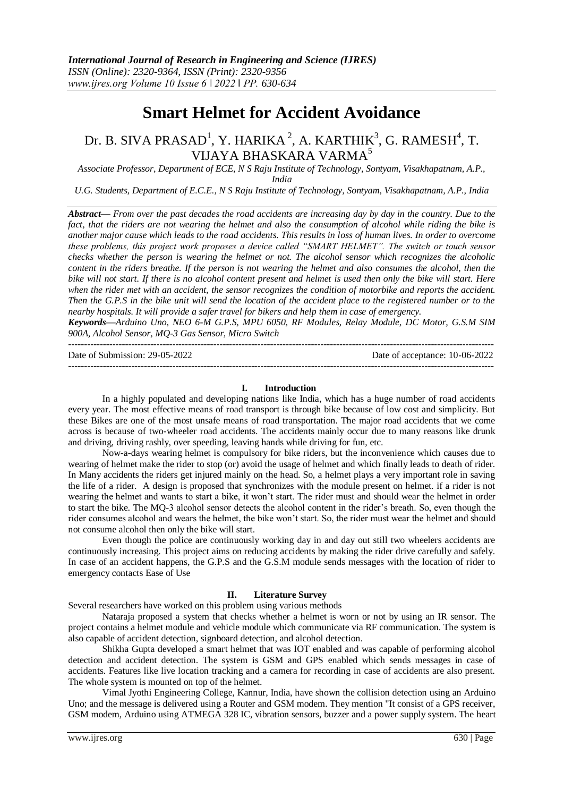$-1.1$ 

# **Smart Helmet for Accident Avoidance**

## Dr. B. SIVA PRASAD<sup>1</sup>, Y. HARIKA<sup>2</sup>, A. KARTHIK<sup>3</sup>, G. RAMESH<sup>4</sup>, T. VIJAYA BHASKARA VARMA<sup>5</sup>

*Associate Professor, Department of ECE, N S Raju Institute of Technology, Sontyam, Visakhapatnam, A.P., India*

*U.G. Students, Department of E.C.E., N S Raju Institute of Technology, Sontyam, Visakhapatnam, A.P., India*

*Abstract— From over the past decades the road accidents are increasing day by day in the country. Due to the*  fact, that the riders are not wearing the helmet and also the consumption of alcohol while riding the bike is *another major cause which leads to the road accidents. This results in loss of human lives. In order to overcome these problems, this project work proposes a device called "SMART HELMET". The switch or touch sensor checks whether the person is wearing the helmet or not. The alcohol sensor which recognizes the alcoholic content* in the riders breathe. If the person is not wearing the helmet and also consumes the alcohol, then the *bike will not start. If there is no alcohol content present and helmet is used then only the bike will start. Here*  when the rider met with an accident, the sensor recognizes the condition of motorbike and reports the accident. *Then the G.P.S in the bike unit will send the location of the accident place to the registered number or to the nearby hospitals. It will provide a safer travel for bikers and help them in case of emergency.*

*Keywords—Arduino Uno, NEO 6-M G.P.S, MPU 6050, RF Modules, Relay Module, DC Motor, G.S.M SIM 900A, Alcohol Sensor, MQ-3 Gas Sensor, Micro Switch* 

Date of Submission: 29-05-2022 Date of acceptance: 10-06-2022 ---------------------------------------------------------------------------------------------------------------------------------------

### **I. Introduction**

In a highly populated and developing nations like India, which has a huge number of road accidents every year. The most effective means of road transport is through bike because of low cost and simplicity. But these Bikes are one of the most unsafe means of road transportation. The major road accidents that we come across is because of two-wheeler road accidents. The accidents mainly occur due to many reasons like drunk and driving, driving rashly, over speeding, leaving hands while driving for fun, etc.

Now-a-days wearing helmet is compulsory for bike riders, but the inconvenience which causes due to wearing of helmet make the rider to stop (or) avoid the usage of helmet and which finally leads to death of rider. In Many accidents the riders get injured mainly on the head. So, a helmet plays a very important role in saving the life of a rider. A design is proposed that synchronizes with the module present on helmet. if a rider is not wearing the helmet and wants to start a bike, it won't start. The rider must and should wear the helmet in order to start the bike. The MQ-3 alcohol sensor detects the alcohol content in the rider's breath. So, even though the rider consumes alcohol and wears the helmet, the bike won't start. So, the rider must wear the helmet and should not consume alcohol then only the bike will start.

Even though the police are continuously working day in and day out still two wheelers accidents are continuously increasing. This project aims on reducing accidents by making the rider drive carefully and safely. In case of an accident happens, the G.P.S and the G.S.M module sends messages with the location of rider to emergency contacts Ease of Use

### **II. Literature Survey**

Several researchers have worked on this problem using various methods

Nataraja proposed a system that checks whether a helmet is worn or not by using an IR sensor. The project contains a helmet module and vehicle module which communicate via RF communication. The system is also capable of accident detection, signboard detection, and alcohol detection.

Shikha Gupta developed a smart helmet that was IOT enabled and was capable of performing alcohol detection and accident detection. The system is GSM and GPS enabled which sends messages in case of accidents. Features like live location tracking and a camera for recording in case of accidents are also present. The whole system is mounted on top of the helmet.

Vimal Jyothi Engineering College, Kannur, India, have shown the collision detection using an Arduino Uno; and the message is delivered using a Router and GSM modem. They mention "It consist of a GPS receiver, GSM modem, Arduino using ATMEGA 328 IC, vibration sensors, buzzer and a power supply system. The heart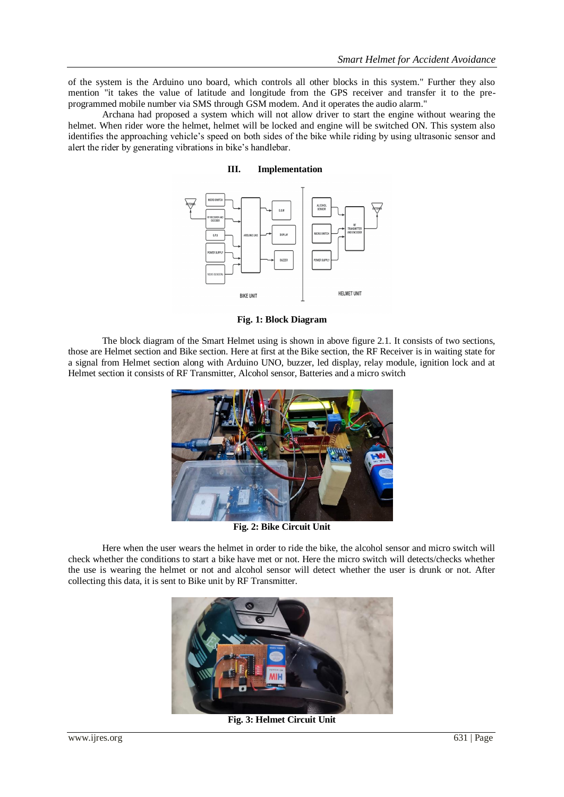of the system is the Arduino uno board, which controls all other blocks in this system." Further they also mention "it takes the value of latitude and longitude from the GPS receiver and transfer it to the preprogrammed mobile number via SMS through GSM modem. And it operates the audio alarm."

Archana had proposed a system which will not allow driver to start the engine without wearing the helmet. When rider wore the helmet, helmet will be locked and engine will be switched ON. This system also identifies the approaching vehicle's speed on both sides of the bike while riding by using ultrasonic sensor and alert the rider by generating vibrations in bike's handlebar.

#### **III. Implementation**



**Fig. 1: Block Diagram**

The block diagram of the Smart Helmet using is shown in above figure 2.1. It consists of two sections, those are Helmet section and Bike section. Here at first at the Bike section, the RF Receiver is in waiting state for a signal from Helmet section along with Arduino UNO, buzzer, led display, relay module, ignition lock and at Helmet section it consists of RF Transmitter, Alcohol sensor, Batteries and a micro switch



**Fig. 2: Bike Circuit Unit**

Here when the user wears the helmet in order to ride the bike, the alcohol sensor and micro switch will check whether the conditions to start a bike have met or not. Here the micro switch will detects/checks whether the use is wearing the helmet or not and alcohol sensor will detect whether the user is drunk or not. After collecting this data, it is sent to Bike unit by RF Transmitter.



**Fig. 3: Helmet Circuit Unit**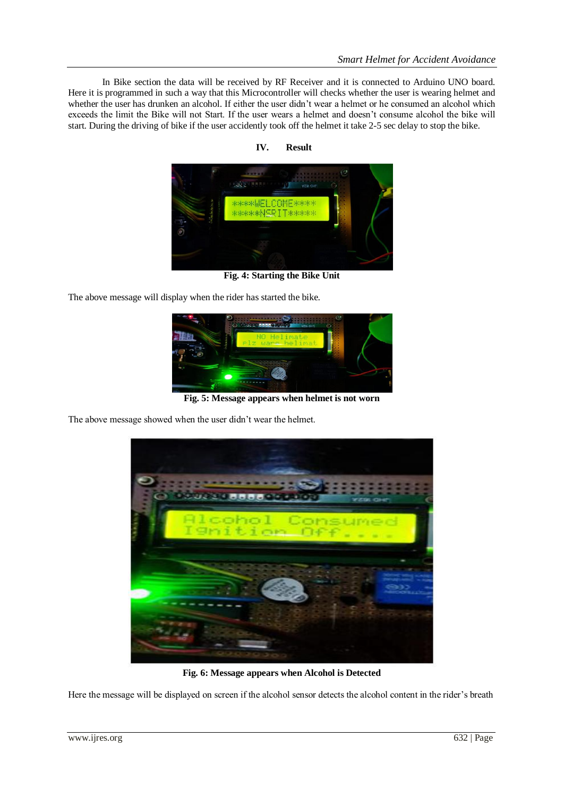In Bike section the data will be received by RF Receiver and it is connected to Arduino UNO board. Here it is programmed in such a way that this Microcontroller will checks whether the user is wearing helmet and whether the user has drunken an alcohol. If either the user didn't wear a helmet or he consumed an alcohol which exceeds the limit the Bike will not Start. If the user wears a helmet and doesn't consume alcohol the bike will start. During the driving of bike if the user accidently took off the helmet it take 2-5 sec delay to stop the bike.



**IV. Result**

**Fig. 4: Starting the Bike Unit**

The above message will display when the rider has started the bike.



**Fig. 5: Message appears when helmet is not worn**

The above message showed when the user didn't wear the helmet.



**Fig. 6: Message appears when Alcohol is Detected**

Here the message will be displayed on screen if the alcohol sensor detects the alcohol content in the rider's breath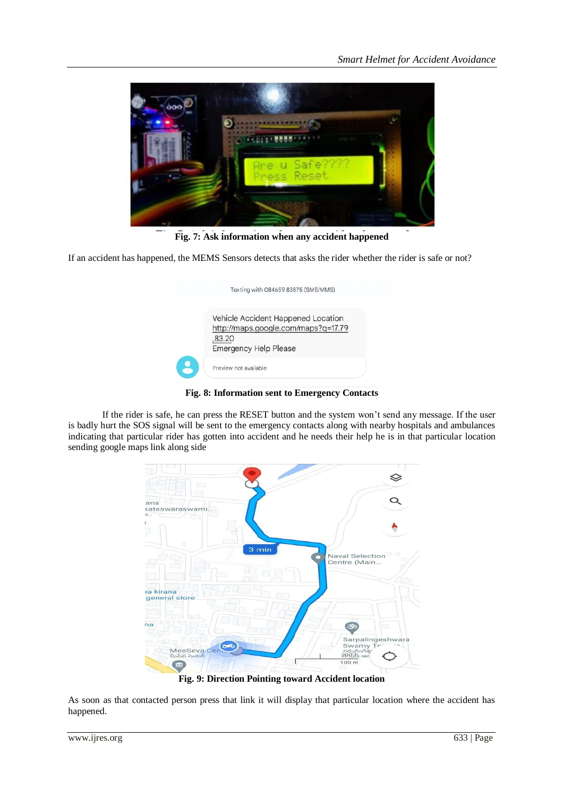

**Fig. 7: Ask information when any accident happened**

If an accident has happened, the MEMS Sensors detects that asks the rider whether the rider is safe or not?

|        | Vehicle Accident Happened Location  |
|--------|-------------------------------------|
|        | http://maps.google.com/maps?q=17.79 |
| ,83.20 |                                     |
|        | <b>Emergency Help Please</b>        |

**Fig. 8: Information sent to Emergency Contacts**

If the rider is safe, he can press the RESET button and the system won't send any message. If the user is badly hurt the SOS signal will be sent to the emergency contacts along with nearby hospitals and ambulances indicating that particular rider has gotten into accident and he needs their help he is in that particular location sending google maps link along side



**Fig. 9: Direction Pointing toward Accident location**

As soon as that contacted person press that link it will display that particular location where the accident has happened.